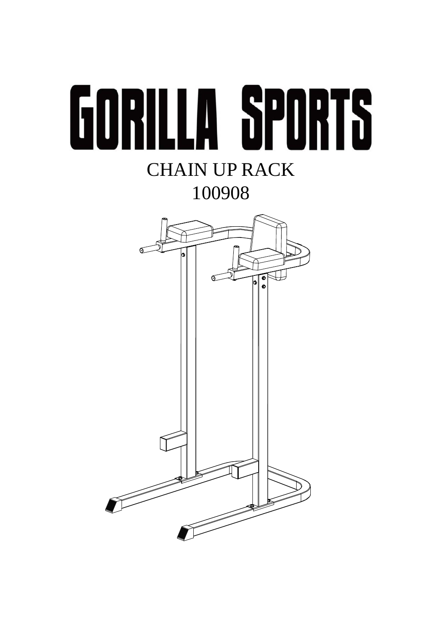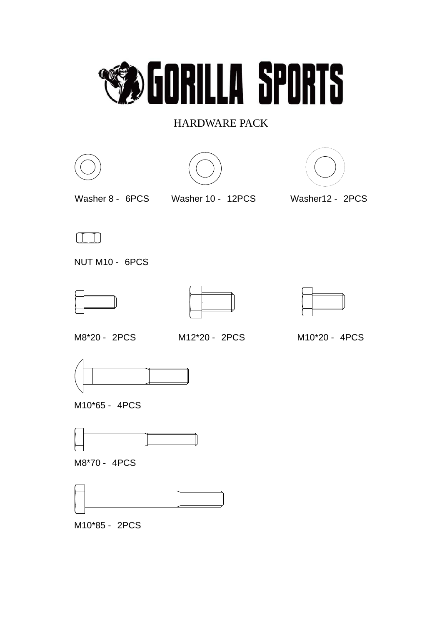

## HARDWARE PACK







Washer 8 - 6PCS Washer 10 - 12PCS



Washer12 - 2PCS



NUT M10 - 6PCS







M8\*20 - 2PCS M12\*20 - 2PCS

M10\*20 - 4PCS



M10\*65 - 4PCS



M8\*70 - 4PCS



M10\*85 - 2PCS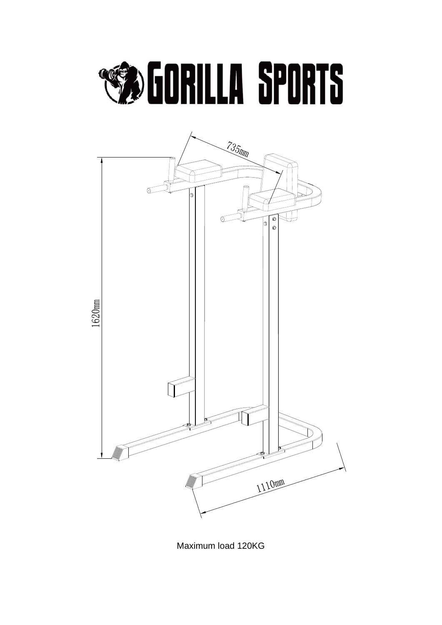## **SEDRILLA SPORTS**



Maximum load 120KG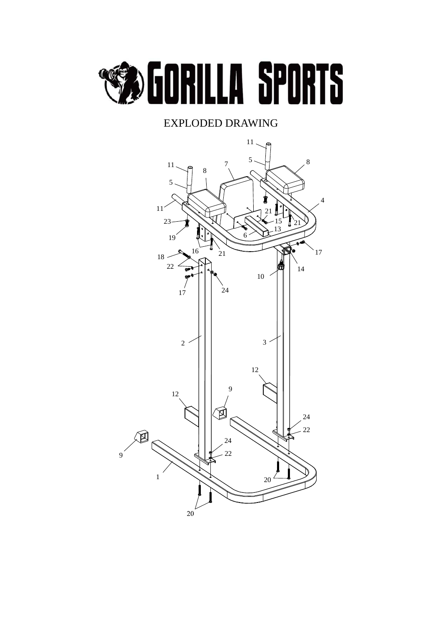

## EXPLODED DRAWING

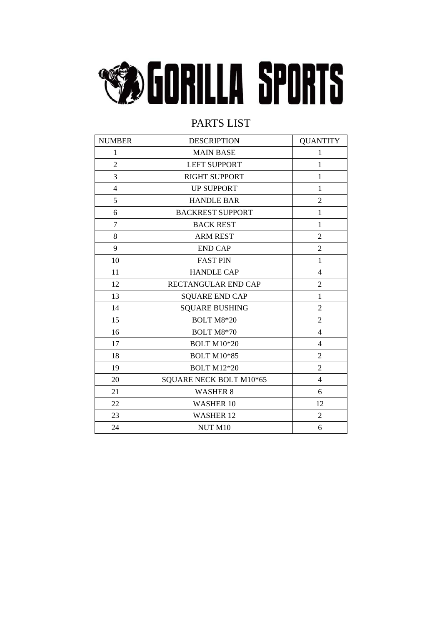

## PARTS LIST

| <b>NUMBER</b>  | <b>DESCRIPTION</b>      | <b>QUANTITY</b> |
|----------------|-------------------------|-----------------|
| $\mathbf{1}$   | <b>MAIN BASE</b>        | $\mathbf{1}$    |
| $\overline{c}$ | <b>LEFT SUPPORT</b>     | $\mathbf{1}$    |
| $\overline{3}$ | RIGHT SUPPORT           | $\mathbf{1}$    |
| $\overline{4}$ | <b>UP SUPPORT</b>       | $\mathbf{1}$    |
| 5              | <b>HANDLE BAR</b>       | $\overline{2}$  |
| 6              | <b>BACKREST SUPPORT</b> | $\mathbf{1}$    |
| $\overline{7}$ | <b>BACK REST</b>        | $\mathbf{1}$    |
| 8              | <b>ARM REST</b>         | $\overline{2}$  |
| 9              | <b>END CAP</b>          | $\overline{2}$  |
| 10             | <b>FAST PIN</b>         | $\mathbf{1}$    |
| 11             | <b>HANDLE CAP</b>       | $\overline{4}$  |
| 12             | RECTANGULAR END CAP     | $\overline{2}$  |
| 13             | <b>SQUARE END CAP</b>   | $\mathbf{1}$    |
| 14             | <b>SQUARE BUSHING</b>   | $\overline{2}$  |
| 15             | <b>BOLT M8*20</b>       | $\overline{2}$  |
| 16             | <b>BOLT M8*70</b>       | $\overline{4}$  |
| 17             | <b>BOLT M10*20</b>      | $\overline{4}$  |
| 18             | <b>BOLT M10*85</b>      | $\overline{2}$  |
| 19             | <b>BOLT M12*20</b>      | $\overline{2}$  |
| 20             | SQUARE NECK BOLT M10*65 | $\overline{4}$  |
| 21             | <b>WASHER 8</b>         | 6               |
| 22             | <b>WASHER 10</b>        | 12              |
| 23             | <b>WASHER 12</b>        | $\overline{2}$  |
| 24             | NUT M10                 | 6               |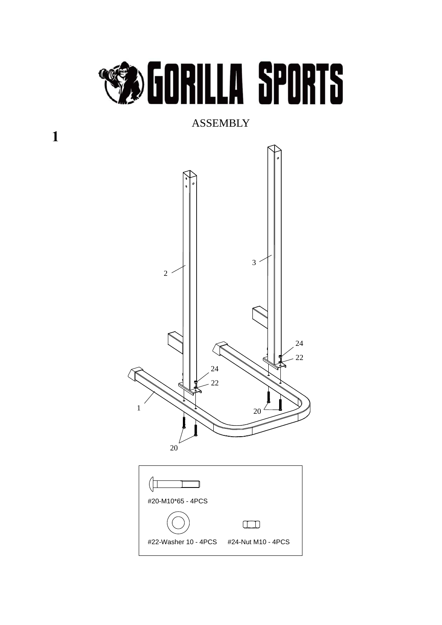

ASSEMBLY



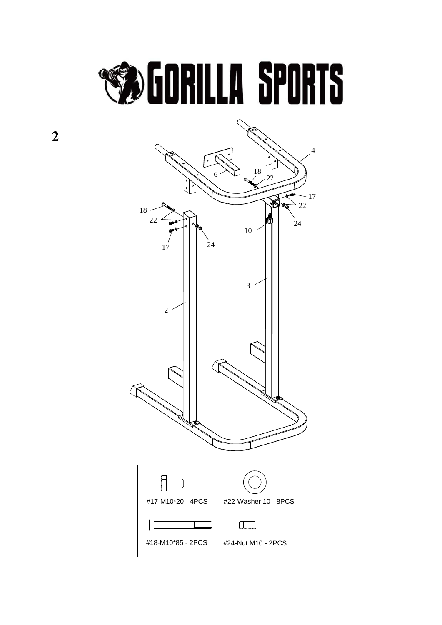